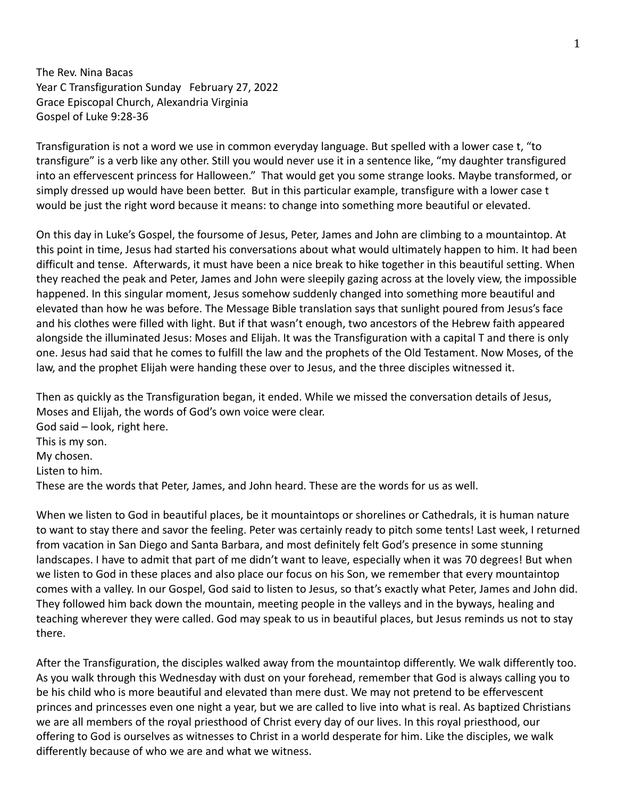The Rev. Nina Bacas Year C Transfiguration Sunday February 27, 2022 Grace Episcopal Church, Alexandria Virginia Gospel of Luke 9:28-36

Transfiguration is not a word we use in common everyday language. But spelled with a lower case t, "to transfigure" is a verb like any other. Still you would never use it in a sentence like, "my daughter transfigured into an effervescent princess for Halloween." That would get you some strange looks. Maybe transformed, or simply dressed up would have been better. But in this particular example, transfigure with a lower case t would be just the right word because it means: to change into something more beautiful or elevated.

On this day in Luke's Gospel, the foursome of Jesus, Peter, James and John are climbing to a mountaintop. At this point in time, Jesus had started his conversations about what would ultimately happen to him. It had been difficult and tense. Afterwards, it must have been a nice break to hike together in this beautiful setting. When they reached the peak and Peter, James and John were sleepily gazing across at the lovely view, the impossible happened. In this singular moment, Jesus somehow suddenly changed into something more beautiful and elevated than how he was before. The Message Bible translation says that sunlight poured from Jesus's face and his clothes were filled with light. But if that wasn't enough, two ancestors of the Hebrew faith appeared alongside the illuminated Jesus: Moses and Elijah. It was the Transfiguration with a capital T and there is only one. Jesus had said that he comes to fulfill the law and the prophets of the Old Testament. Now Moses, of the law, and the prophet Elijah were handing these over to Jesus, and the three disciples witnessed it.

Then as quickly as the Transfiguration began, it ended. While we missed the conversation details of Jesus, Moses and Elijah, the words of God's own voice were clear. God said – look, right here. This is my son. My chosen. Listen to him. These are the words that Peter, James, and John heard. These are the words for us as well.

When we listen to God in beautiful places, be it mountaintops or shorelines or Cathedrals, it is human nature to want to stay there and savor the feeling. Peter was certainly ready to pitch some tents! Last week, I returned from vacation in San Diego and Santa Barbara, and most definitely felt God's presence in some stunning landscapes. I have to admit that part of me didn't want to leave, especially when it was 70 degrees! But when we listen to God in these places and also place our focus on his Son, we remember that every mountaintop comes with a valley. In our Gospel, God said to listen to Jesus, so that's exactly what Peter, James and John did. They followed him back down the mountain, meeting people in the valleys and in the byways, healing and teaching wherever they were called. God may speak to us in beautiful places, but Jesus reminds us not to stay there.

After the Transfiguration, the disciples walked away from the mountaintop differently. We walk differently too. As you walk through this Wednesday with dust on your forehead, remember that God is always calling you to be his child who is more beautiful and elevated than mere dust. We may not pretend to be effervescent princes and princesses even one night a year, but we are called to live into what is real. As baptized Christians we are all members of the royal priesthood of Christ every day of our lives. In this royal priesthood, our offering to God is ourselves as witnesses to Christ in a world desperate for him. Like the disciples, we walk differently because of who we are and what we witness.